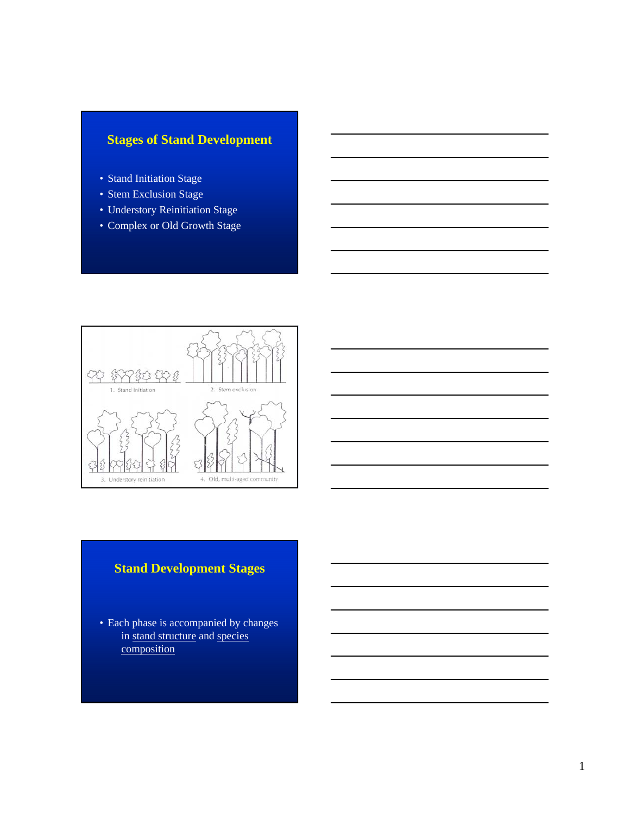# **Stages of Stand Development**

- Stand Initiation Stage
- Stem Exclusion Stage
- Understory Reinitiation Stage
- Complex or Old Growth Stage



# **Stand Development Stages**

• Each phase is accompanied by changes in stand structure and species composition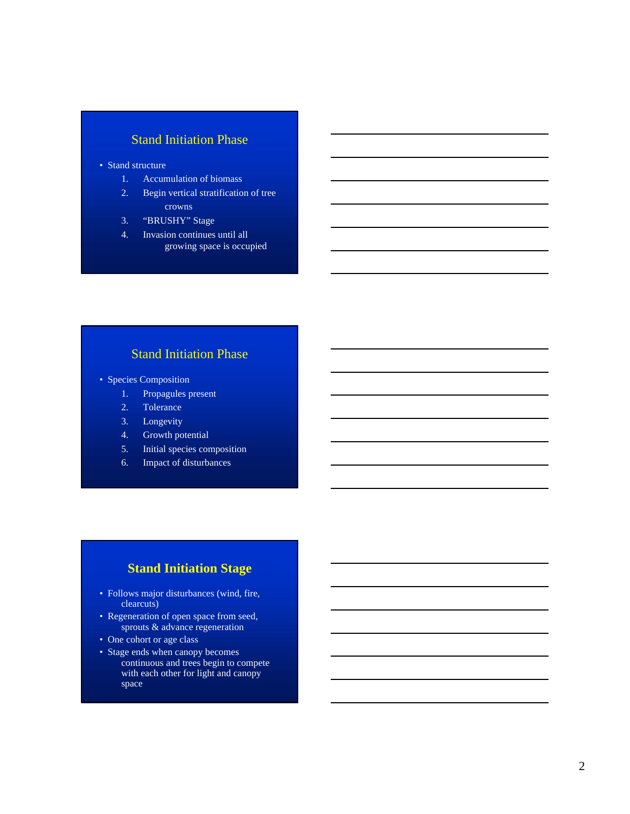# Stand Initiation Phase

- Stand structure
	- 1. Accumulation of biomass
	- 2. Begin vertical stratification of tree crowns
	- 3. "BRUSHY" Stage
	- 4. Invasion continues until all growing space is occupied

# Stand Initiation Phase

- Species Composition
	- 1. Propagules present
	- 2. Tolerance
	- 3. Longevity
	- 4. Growth potential
	- 5. Initial species composition
	- 6. Impact of disturbances

# **Stand Initiation Stage**

- Follows major disturbances (wind, fire, clearcuts)
- Regeneration of open space from seed, sprouts & advance regeneration
- One cohort or age class
- Stage ends when canopy becomes continuous and trees begin to compete with each other for light and canopy space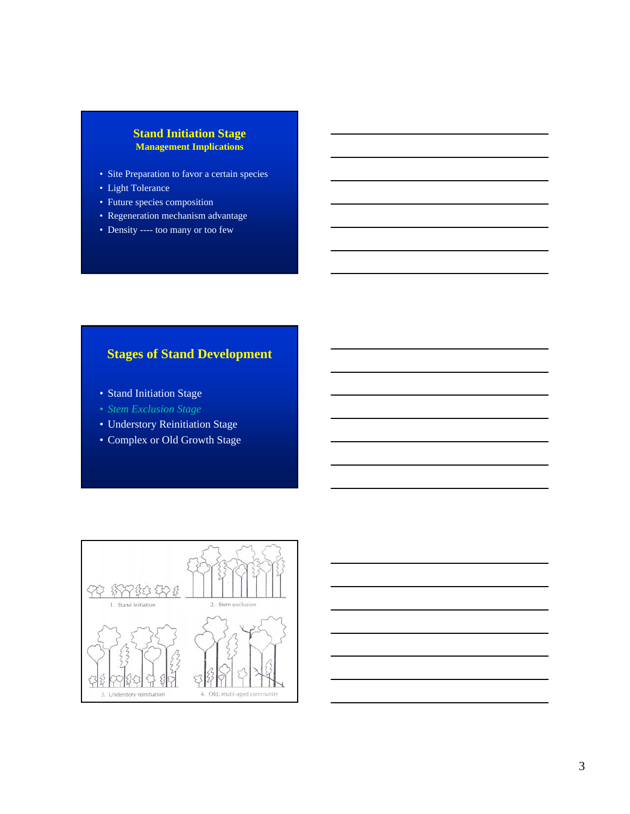#### **Stand Initiation Stage Management Implications**

- Site Preparation to favor a certain species
- Light Tolerance
- Future species composition
- Regeneration mechanism advantage
- Density ---- too many or too few

# **Stages of Stand Development**

- Stand Initiation Stage
- *Stem Exclusion Stage*
- Understory Reinitiation Stage
- Complex or Old Growth Stage



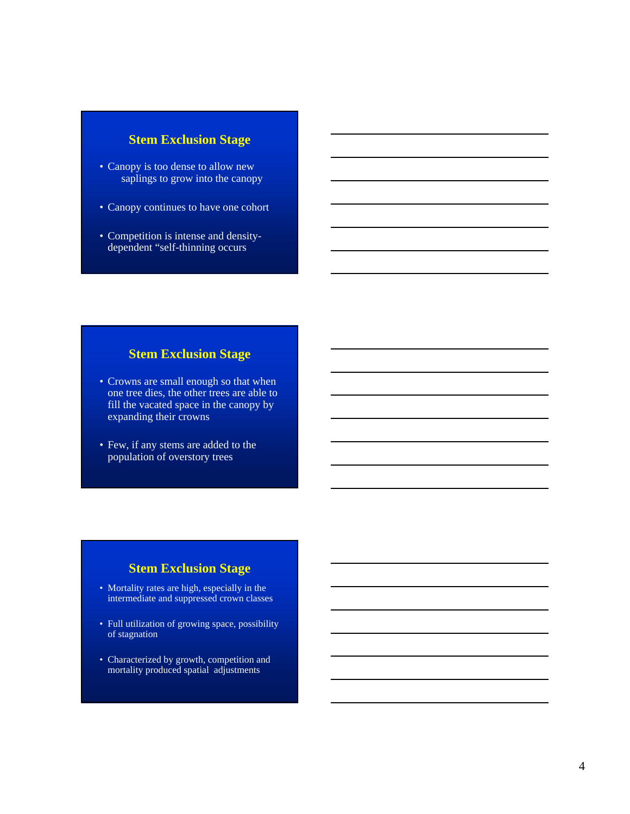#### **Stem Exclusion Stage**

- Canopy is too dense to allow new saplings to grow into the canopy
- Canopy continues to have one cohort
- Competition is intense and densitydependent "self-thinning occurs

#### **Stem Exclusion Stage**

- Crowns are small enough so that when one tree dies, the other trees are able to fill the vacated space in the canopy by expanding their crowns
- Few, if any stems are added to the population of overstory trees

#### **Stem Exclusion Stage**

- Mortality rates are high, especially in the intermediate and suppressed crown classes
- Full utilization of growing space, possibility of stagnation
- Characterized by growth, competition and mortality produced spatial adjustments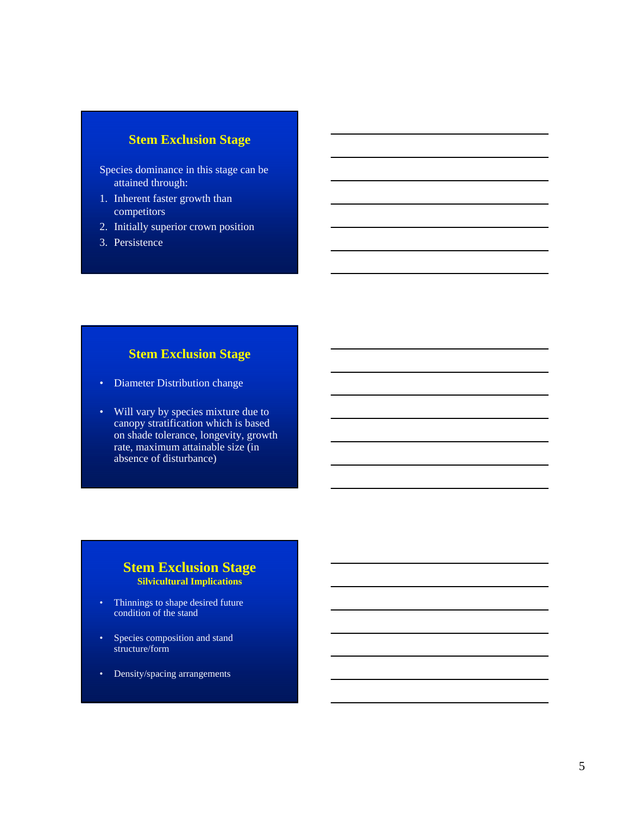#### **Stem Exclusion Stage**

- Species dominance in this stage can be attained through:
- 1. Inherent faster growth than competitors
- 2. Initially superior crown position
- 3. Persistence

#### **Stem Exclusion Stage**

- Diameter Distribution change
- Will vary by species mixture due to canopy stratification which is based on shade tolerance, longevity, growth rate, maximum attainable size (in absence of disturbance)

#### **Stem Exclusion Stage Silvicultural Implications**

- Thinnings to shape desired future condition of the stand
- Species composition and stand structure/form
- Density/spacing arrangements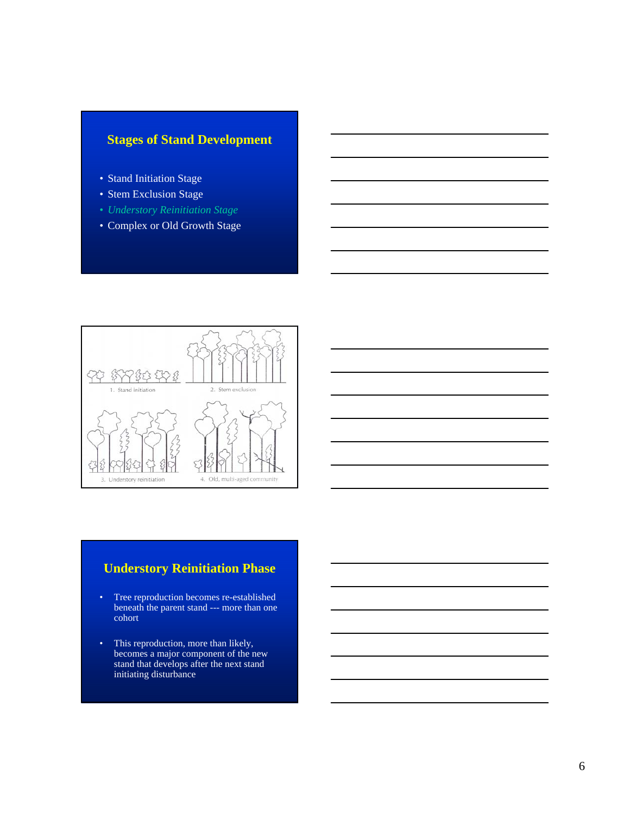### **Stages of Stand Development**

- Stand Initiation Stage
- Stem Exclusion Stage
- *Understory Reinitiation Stage*
- Complex or Old Growth Stage



#### **Understory Reinitiation Phase**

- Tree reproduction becomes re-established beneath the parent stand --- more than one cohort
- This reproduction, more than likely, becomes a major component of the new stand that develops after the next stand initiating disturbance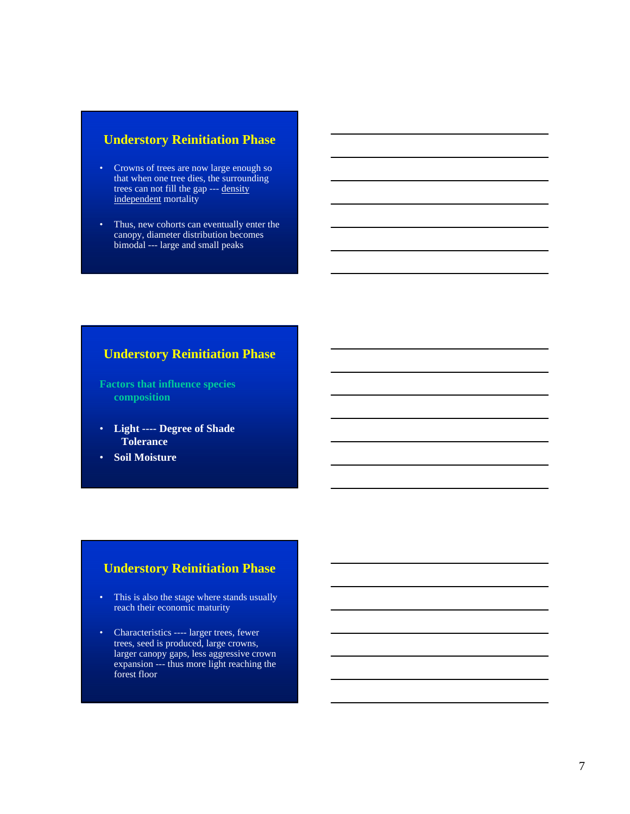#### **Understory Reinitiation Phase**

- Crowns of trees are now large enough so that when one tree dies, the surrounding trees can not fill the gap --- density independent mortality
- Thus, new cohorts can eventually enter the canopy, diameter distribution becomes bimodal --- large and small peaks

#### **Understory Reinitiation Phase**

**Factors that influence species composition**

- **Light ---- Degree of Shade Tolerance**
- **Soil Moisture**

#### **Understory Reinitiation Phase**

- This is also the stage where stands usually reach their economic maturity
- Characteristics ---- larger trees, fewer trees, seed is produced, large crowns, larger canopy gaps, less aggressive crown expansion --- thus more light reaching the forest floor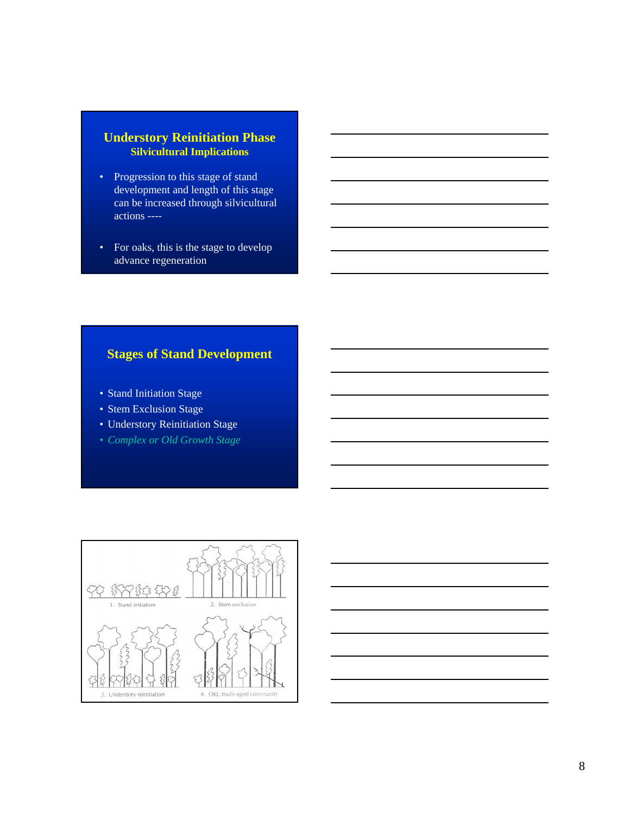#### **Understory Reinitiation Phase Silvicultural Implications**

- Progression to this stage of stand development and length of this stage can be increased through silvicultural actions ----
- For oaks, this is the stage to develop advance regeneration

#### **Stages of Stand Development**

- Stand Initiation Stage
- Stem Exclusion Stage
- Understory Reinitiation Stage
- *Complex or Old Growth Stage*





8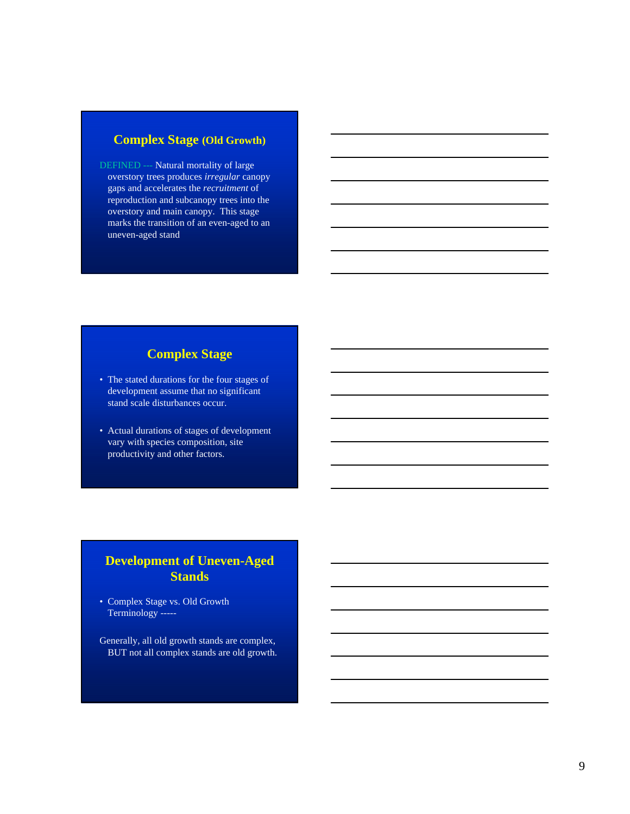#### **Complex Stage (Old Growth)**

DEFINED --- Natural mortality of large overstory trees produces *irregular* canopy gaps and accelerates the *recruitment* of reproduction and subcanopy trees into the overstory and main canopy. This stage marks the transition of an even-aged to an uneven-aged stand

#### **Complex Stage**

- The stated durations for the four stages of development assume that no significant stand scale disturbances occur.
- Actual durations of stages of development vary with species composition, site productivity and other factors.

# **Development of Uneven-Aged Stands**

- Complex Stage vs. Old Growth Terminology -----
- Generally, all old growth stands are complex, BUT not all complex stands are old growth.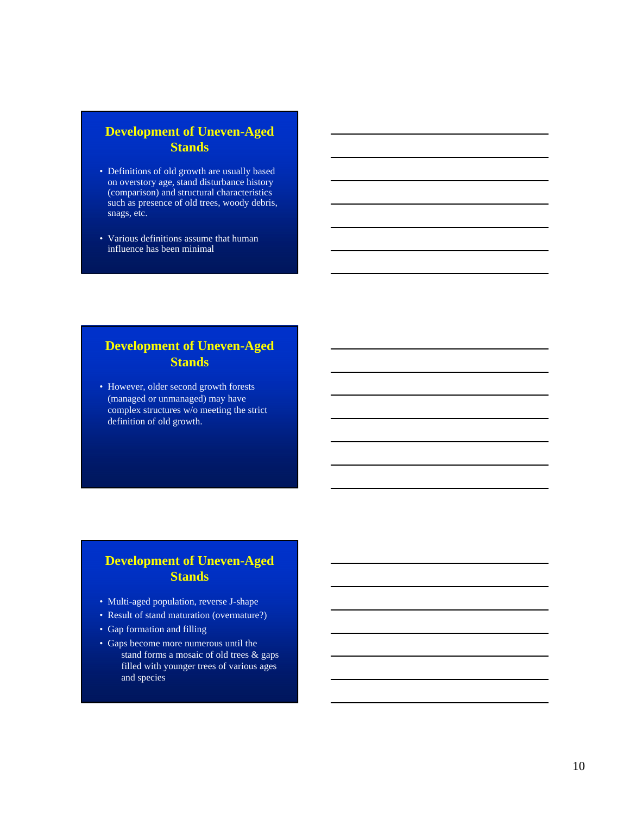# **Development of Uneven-Aged Stands**

- Definitions of old growth are usually based on overstory age, stand disturbance history (comparison) and structural characteristics such as presence of old trees, woody debris, snags, etc.
- Various definitions assume that human influence has been minimal

# **Development of Uneven-Aged Stands**

• However, older second growth forests (managed or unmanaged) may have complex structures w/o meeting the strict definition of old growth.

# **Development of Uneven-Aged Stands**

- Multi-aged population, reverse J-shape
- Result of stand maturation (overmature?)
- Gap formation and filling
- Gaps become more numerous until the stand forms a mosaic of old trees & gaps filled with younger trees of various ages and species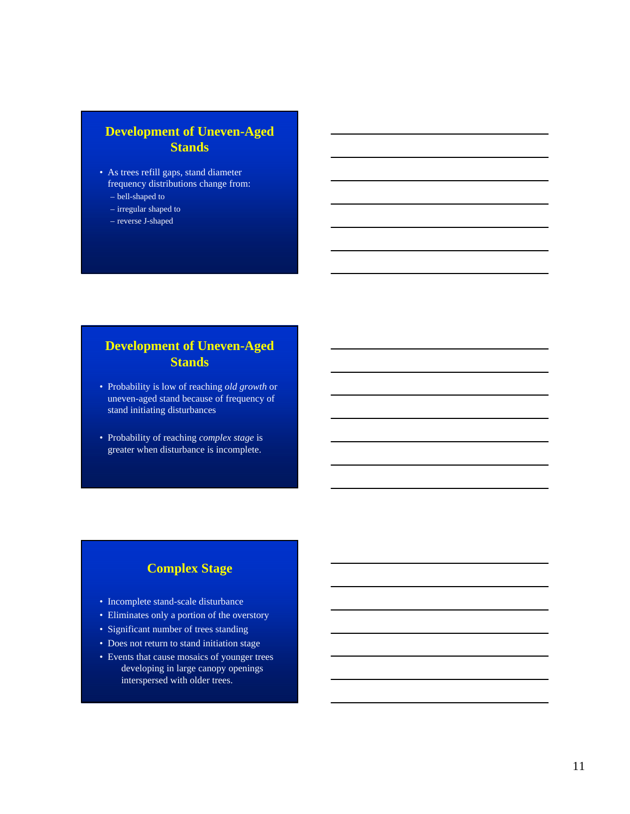# **Development of Uneven-Aged Stands**

- As trees refill gaps, stand diameter frequency distributions change from:
	- bell-shaped to
	- irregular shaped to
	- reverse J-shaped

# **Development of Uneven-Aged Stands**

- Probability is low of reaching *old growth* or uneven-aged stand because of frequency of stand initiating disturbances
- Probability of reaching *complex stage* is greater when disturbance is incomplete.

### **Complex Stage**

- Incomplete stand-scale disturbance
- Eliminates only a portion of the overstory
- Significant number of trees standing
- Does not return to stand initiation stage
- Events that cause mosaics of younger trees developing in large canopy openings interspersed with older trees.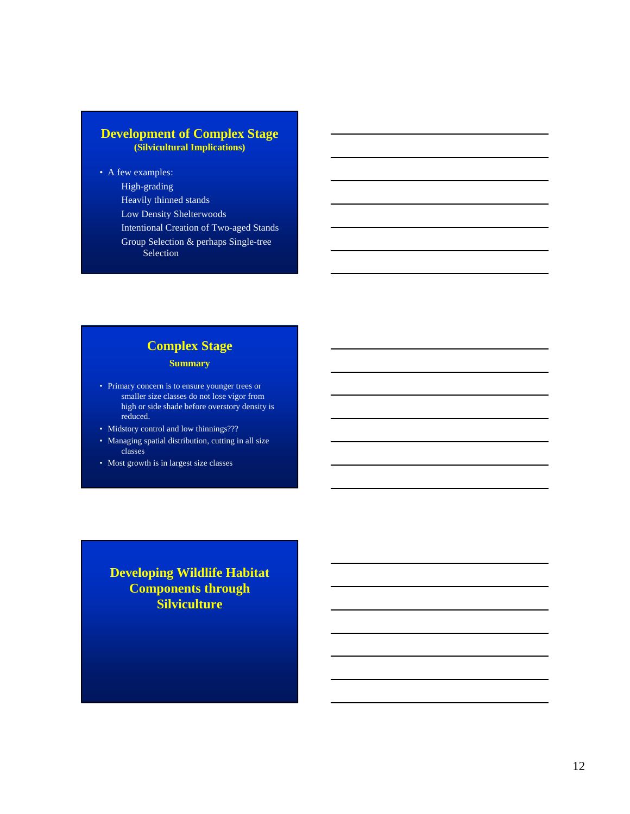#### **Development of Complex Stage (Silvicultural Implications)**

• A few examples: High-grading Heavily thinned stands Low Density Shelterwoods Intentional Creation of Two-aged Stands Group Selection & perhaps Single-tree Selection

# **Complex Stage**

**Summary**

- Primary concern is to ensure younger trees or smaller size classes do not lose vigor from high or side shade before overstory density is reduced.
- Midstory control and low thinnings???
- Managing spatial distribution, cutting in all size classes
- Most growth is in largest size classes

**Developing Wildlife Habitat Components through Silviculture**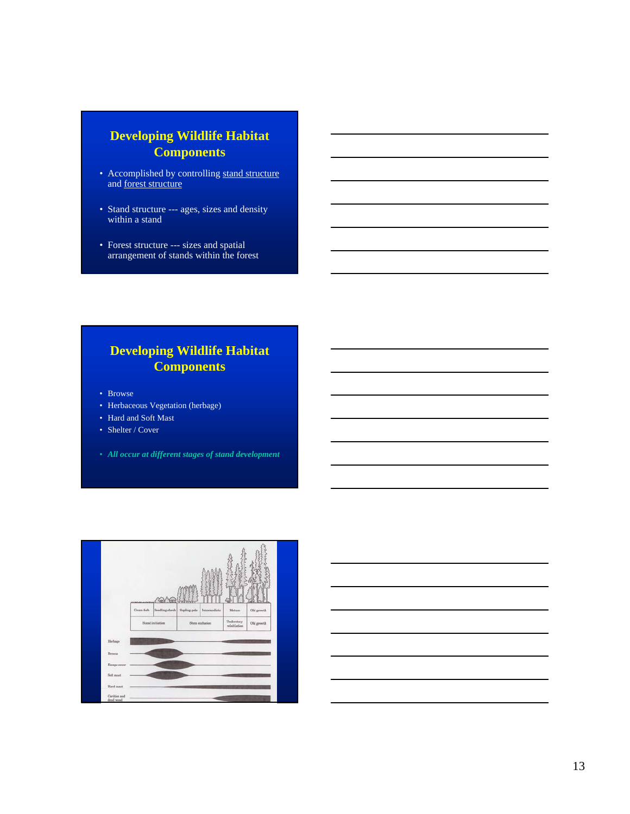# **Developing Wildlife Habitat Components**

- Accomplished by controlling stand structure and forest structure
- Stand structure --- ages, sizes and density within a stand
- Forest structure --- sizes and spatial arrangement of stands within the forest

# **Developing Wildlife Habitat Components**

- Browse
- Herbaceous Vegetation (herbage)
- Hard and Soft Mast
- Shelter / Cover
- *All occur at different stages of stand development*

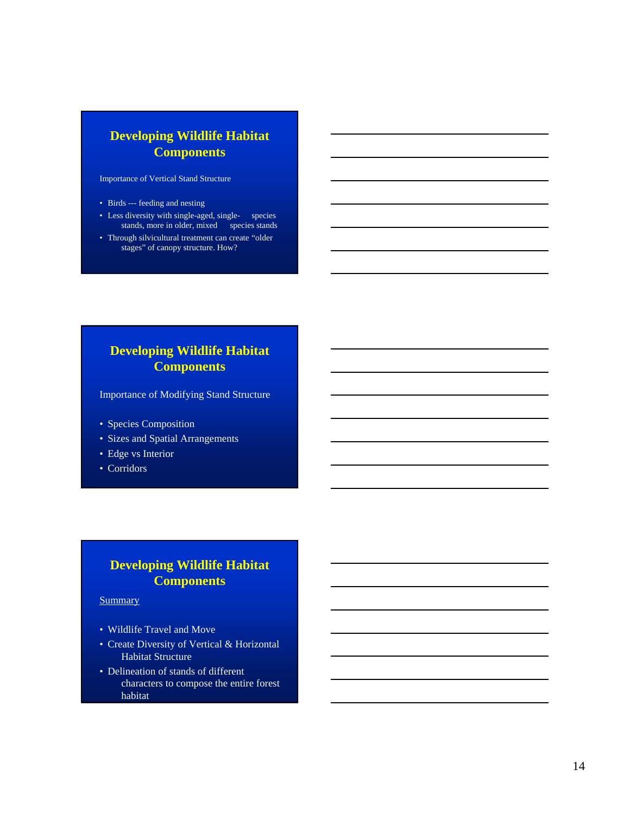# **Developing Wildlife Habitat Components**

Importance of Vertical Stand Structure

- Birds --- feeding and nesting
- Less diversity with single-aged, single- species stands, more in older, mixed species stands
- Through silvicultural treatment can create "older stages" of canopy structure. How?

# **Developing Wildlife Habitat Components**

Importance of Modifying Stand Structure

- Species Composition
- Sizes and Spatial Arrangements
- Edge vs Interior
- Corridors

# **Developing Wildlife Habitat Components**

**Summary** 

- Wildlife Travel and Move
- Create Diversity of Vertical & Horizontal Habitat Structure
- Delineation of stands of different characters to compose the entire forest habitat